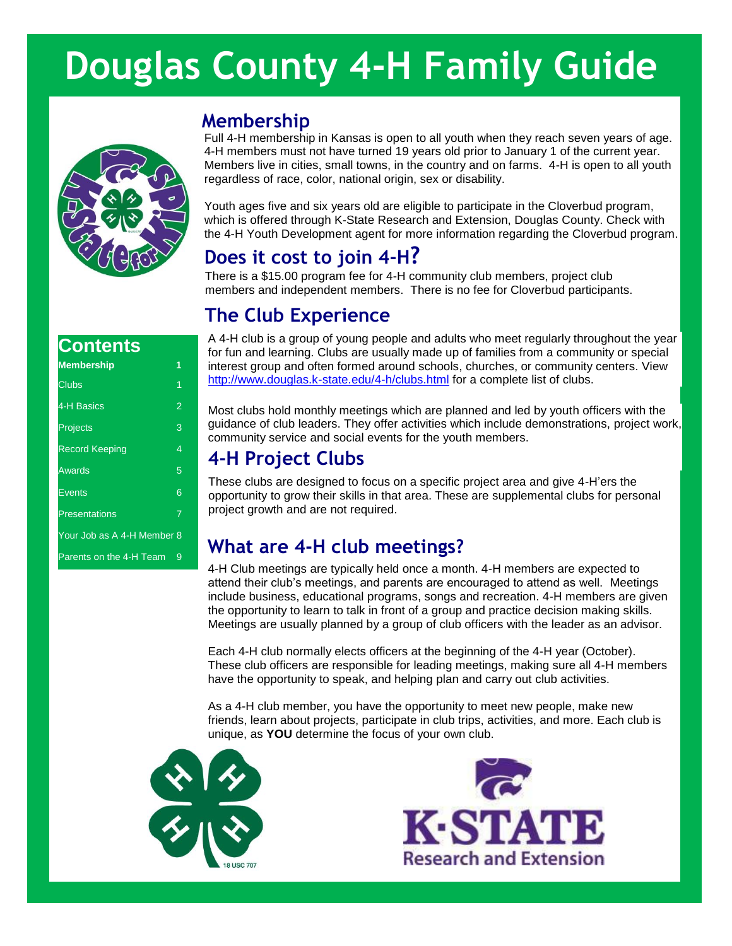# **Douglas County 4-H Family Guide**



# **Membership**

Full 4-H membership in Kansas is open to all youth when they reach seven years of age. 4-H members must not have turned 19 years old prior to January 1 of the current year. Members live in cities, small towns, in the country and on farms. 4-H is open to all youth regardless of race, color, national origin, sex or disability.

Youth ages five and six years old are eligible to participate in the Cloverbud program, which is offered through K-State Research and Extension, Douglas County. Check with the 4-H Youth Development agent for more information regarding the Cloverbud program.

# **Does it cost to join 4-H?**

There is a \$15.00 program fee for 4-H community club members, project club members and independent members. There is no fee for Cloverbud participants.

# **The Club Experience**

## **Contents**

| <b>Membership</b>          | 1              |
|----------------------------|----------------|
| Clubs                      | 1              |
| 4-H Basics                 | $\overline{2}$ |
| <b>Projects</b>            | 3              |
| <b>Record Keeping</b>      | 4              |
| Awards                     | 5              |
| Events                     | 6              |
| <b>Presentations</b>       | $\overline{7}$ |
| Your Job as A 4-H Member 8 |                |
| Parents on the 4-H Team    | 9              |

A 4-H club is a group of young people and adults who meet regularly throughout the year for fun and learning. Clubs are usually made up of families from a community or special interest group and often formed around schools, churches, or community centers. View <http://www.douglas.k-state.edu/4-h/clubs.html> for a complete list of clubs.

Most clubs hold monthly meetings which are planned and led by youth officers with the guidance of club leaders. They offer activities which include demonstrations, project work, community service and social events for the youth members.

# **4-H Project Clubs**

These clubs are designed to focus on a specific project area and give 4-H'ers the opportunity to grow their skills in that area. These are supplemental clubs for personal project growth and are not required.

# **What are 4-H club meetings?**

4-H Club meetings are typically held once a month. 4-H members are expected to attend their club's meetings, and parents are encouraged to attend as well. Meetings include business, educational programs, songs and recreation. 4-H members are given the opportunity to learn to talk in front of a group and practice decision making skills. Meetings are usually planned by a group of club officers with the leader as an advisor.

Each 4-H club normally elects officers at the beginning of the 4-H year (October). These club officers are responsible for leading meetings, making sure all 4-H members have the opportunity to speak, and helping plan and carry out club activities.

As a 4-H club member, you have the opportunity to meet new people, make new friends, learn about projects, participate in club trips, activities, and more. Each club is unique, as **YOU** determine the focus of your own club.



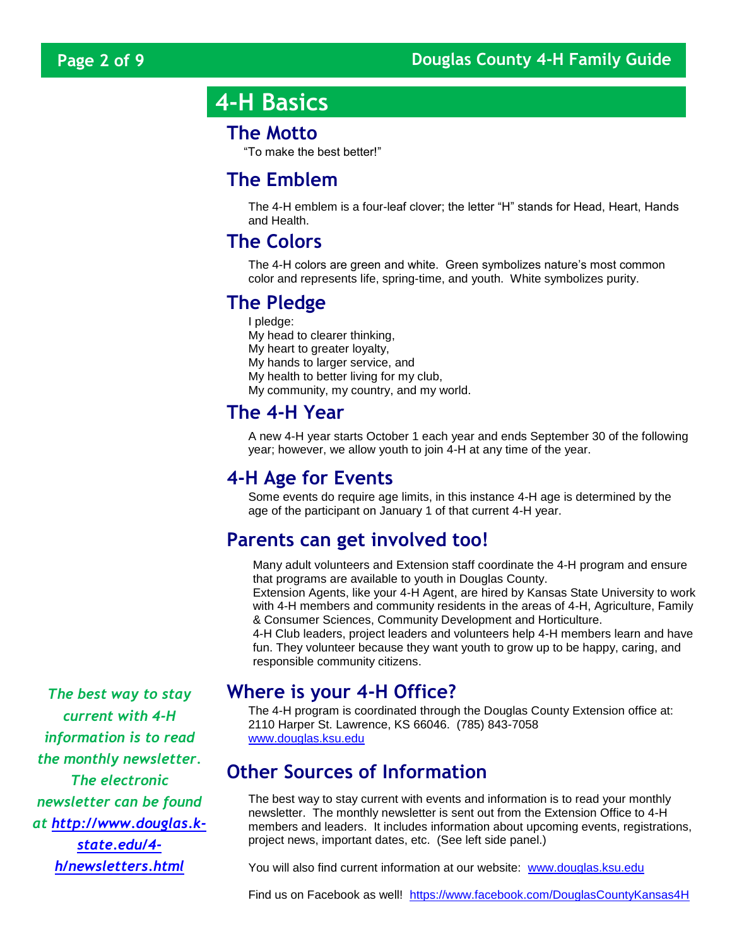# **4-H Basics**

### **The Motto**

"To make the best better!"

# **The Emblem**

The 4-H emblem is a four-leaf clover; the letter "H" stands for Head, Heart, Hands and Health.

### **The Colors**

The 4-H colors are green and white. Green symbolizes nature's most common color and represents life, spring-time, and youth. White symbolizes purity.

# **The Pledge**

I pledge: My head to clearer thinking, My heart to greater loyalty, My hands to larger service, and My health to better living for my club, My community, my country, and my world.

# **The 4-H Year**

A new 4-H year starts October 1 each year and ends September 30 of the following year; however, we allow youth to join 4-H at any time of the year.

# **4-H Age for Events**

Some events do require age limits, in this instance 4-H age is determined by the age of the participant on January 1 of that current 4-H year.

# **Parents can get involved too!**

Many adult volunteers and Extension staff coordinate the 4-H program and ensure that programs are available to youth in Douglas County. Extension Agents, like your 4-H Agent, are hired by Kansas State University to work with 4-H members and community residents in the areas of 4-H, Agriculture, Family

& Consumer Sciences, Community Development and Horticulture.

4-H Club leaders, project leaders and volunteers help 4-H members learn and have fun. They volunteer because they want youth to grow up to be happy, caring, and responsible community citizens.

*The best way to stay* **Where is your 4-H Office?**

The 4-H program is coordinated through the Douglas County Extension office at: 2110 Harper St. Lawrence, KS 66046. (785) 843-7058 [www.douglas.ksu.edu](http://www.douglas.ksu.edu/)

# **Other Sources of Information**

The best way to stay current with events and information is to read your monthly newsletter. The monthly newsletter is sent out from the Extension Office to 4-H members and leaders. It includes information about upcoming events, registrations, project news, important dates, etc. (See left side panel.)

You will also find current information at our website: [www.douglas.ksu.edu](http://www.douglas.ksu.edu/)

Find us on Facebook as well! <https://www.facebook.com/DouglasCountyKansas4H>

*current with 4-H information is to read the monthly newsletter. The electronic newsletter can be found at [http://www.douglas.k](http://www.douglas.k-state.edu/4-h/newsletters.html)[state.edu/4](http://www.douglas.k-state.edu/4-h/newsletters.html) [h/newsletters.html](http://www.douglas.k-state.edu/4-h/newsletters.html)*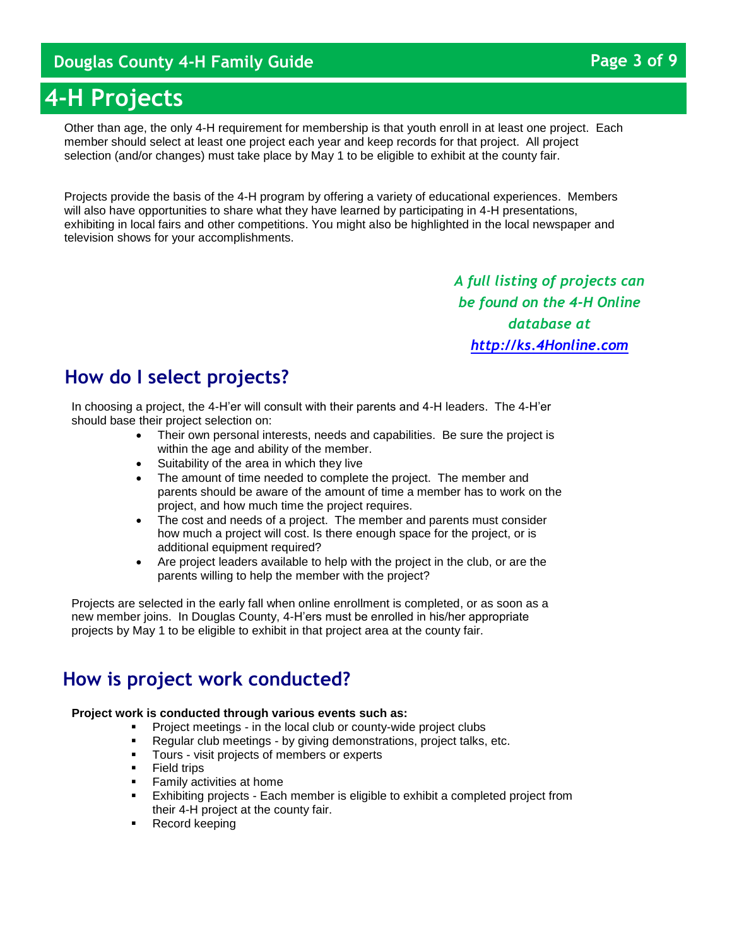# **4-H Projects**

Other than age, the only 4-H requirement for membership is that youth enroll in at least one project. Each member should select at least one project each year and keep records for that project. All project selection (and/or changes) must take place by May 1 to be eligible to exhibit at the county fair.

Projects provide the basis of the 4-H program by offering a variety of educational experiences. Members will also have opportunities to share what they have learned by participating in 4-H presentations, exhibiting in local fairs and other competitions. You might also be highlighted in the local newspaper and television shows for your accomplishments.

> *A full listing of projects can be found on the 4-H Online database at [http://ks.4Honline.com](http://ks.4honline.com/)*

# **How do I select projects?**

In choosing a project, the 4-H'er will consult with their parents and 4-H leaders. The 4-H'er should base their project selection on:

- Their own personal interests, needs and capabilities. Be sure the project is within the age and ability of the member.
- Suitability of the area in which they live
- The amount of time needed to complete the project. The member and parents should be aware of the amount of time a member has to work on the project, and how much time the project requires.
- The cost and needs of a project. The member and parents must consider how much a project will cost. Is there enough space for the project, or is additional equipment required?
- Are project leaders available to help with the project in the club, or are the parents willing to help the member with the project?

Projects are selected in the early fall when online enrollment is completed, or as soon as a new member joins. In Douglas County, 4-H'ers must be enrolled in his/her appropriate projects by May 1 to be eligible to exhibit in that project area at the county fair.

# **How is project work conducted?**

#### **Project work is conducted through various events such as:**

- Project meetings in the local club or county-wide project clubs
- **Regular club meetings by giving demonstrations, project talks, etc.**
- **Tours visit projects of members or experts**<br>**Example 1** Field trips
- Field trips
- Family activities at home
- Exhibiting projects Each member is eligible to exhibit a completed project from their 4-H project at the county fair.
- Record keeping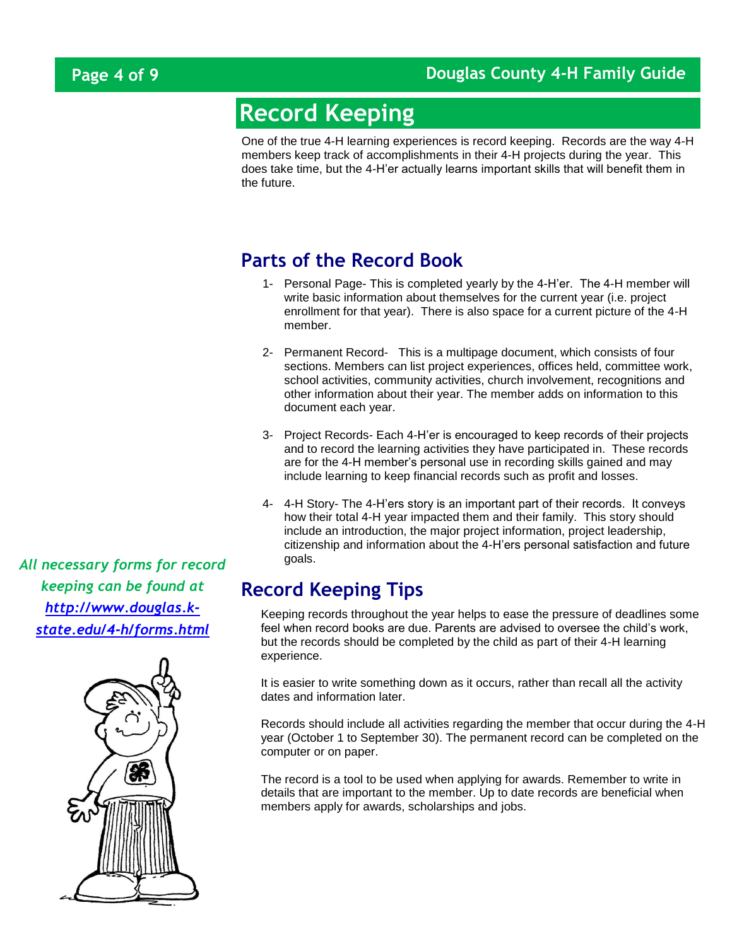# **Record Keeping**

One of the true 4-H learning experiences is record keeping. Records are the way 4-H members keep track of accomplishments in their 4-H projects during the year. This does take time, but the 4-H'er actually learns important skills that will benefit them in the future.

# **Parts of the Record Book**

- 1- Personal Page- This is completed yearly by the 4-H'er. The 4-H member will write basic information about themselves for the current year (i.e. project enrollment for that year). There is also space for a current picture of the 4-H member.
- 2- Permanent Record- This is a multipage document, which consists of four sections. Members can list project experiences, offices held, committee work, school activities, community activities, church involvement, recognitions and other information about their year. The member adds on information to this document each year.
- 3- Project Records- Each 4-H'er is encouraged to keep records of their projects and to record the learning activities they have participated in. These records are for the 4-H member's personal use in recording skills gained and may include learning to keep financial records such as profit and losses.
- 4- 4-H Story- The 4-H'ers story is an important part of their records. It conveys how their total 4-H year impacted them and their family. This story should include an introduction, the major project information, project leadership, citizenship and information about the 4-H'ers personal satisfaction and future goals.

# **Record Keeping Tips**

Keeping records throughout the year helps to ease the pressure of deadlines some feel when record books are due. Parents are advised to oversee the child's work, but the records should be completed by the child as part of their 4-H learning experience.

It is easier to write something down as it occurs, rather than recall all the activity dates and information later.

Records should include all activities regarding the member that occur during the 4-H year (October 1 to September 30). The permanent record can be completed on the computer or on paper.

The record is a tool to be used when applying for awards. Remember to write in details that are important to the member. Up to date records are beneficial when members apply for awards, scholarships and jobs.

*All necessary forms for record keeping can be found at [http://www.douglas.k](http://www.douglas.k-state.edu/4-h/forms.html)[state.edu/4-h/forms.html](http://www.douglas.k-state.edu/4-h/forms.html)*

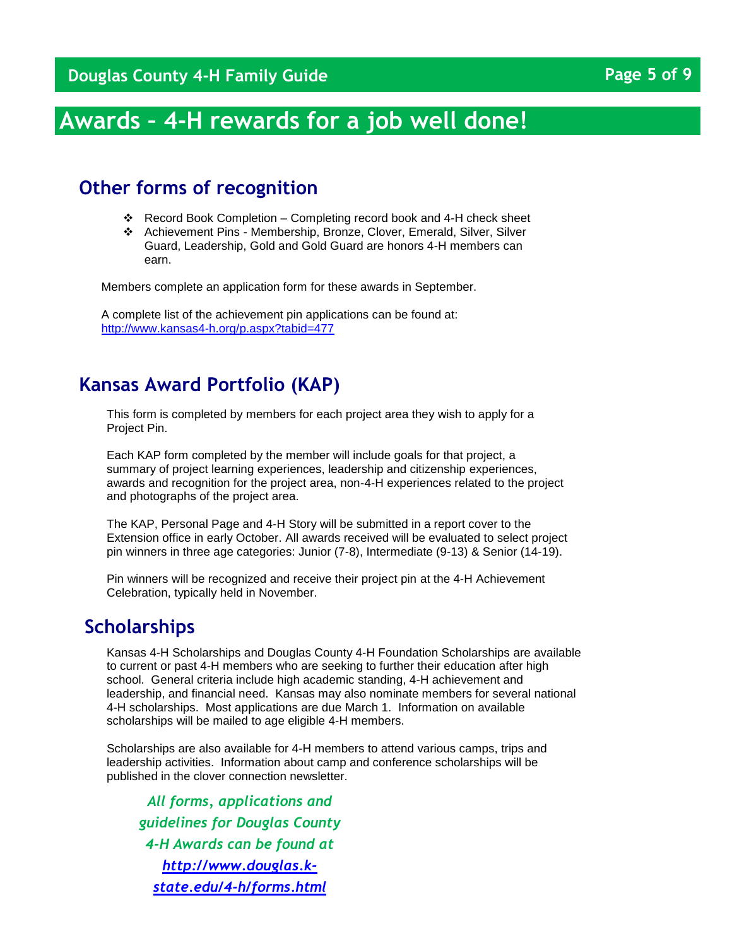# **Awards – 4-H rewards for a job well done!**

# **Other forms of recognition**

- Record Book Completion Completing record book and 4-H check sheet
- Achievement Pins Membership, Bronze, Clover, Emerald, Silver, Silver Guard, Leadership, Gold and Gold Guard are honors 4-H members can earn.

Members complete an application form for these awards in September.

A complete list of the achievement pin applications can be found at: <http://www.kansas4-h.org/p.aspx?tabid=477>

## **Kansas Award Portfolio (KAP)**

This form is completed by members for each project area they wish to apply for a Project Pin.

Each KAP form completed by the member will include goals for that project, a summary of project learning experiences, leadership and citizenship experiences, awards and recognition for the project area, non-4-H experiences related to the project and photographs of the project area.

The KAP, Personal Page and 4-H Story will be submitted in a report cover to the Extension office in early October. All awards received will be evaluated to select project pin winners in three age categories: Junior (7-8), Intermediate (9-13) & Senior (14-19).

Pin winners will be recognized and receive their project pin at the 4-H Achievement Celebration, typically held in November.

### **Scholarships**

Kansas 4-H Scholarships and Douglas County 4-H Foundation Scholarships are available to current or past 4-H members who are seeking to further their education after high school. General criteria include high academic standing, 4-H achievement and leadership, and financial need. Kansas may also nominate members for several national 4-H scholarships. Most applications are due March 1. Information on available scholarships will be mailed to age eligible 4-H members.

Scholarships are also available for 4-H members to attend various camps, trips and leadership activities. Information about camp and conference scholarships will be published in the clover connection newsletter.

*All forms, applications and guidelines for Douglas County 4-H Awards can be found at [http://www.douglas.k](http://www.douglas.k-state.edu/4-h/forms.html)[state.edu/4-h/forms.html](http://www.douglas.k-state.edu/4-h/forms.html)*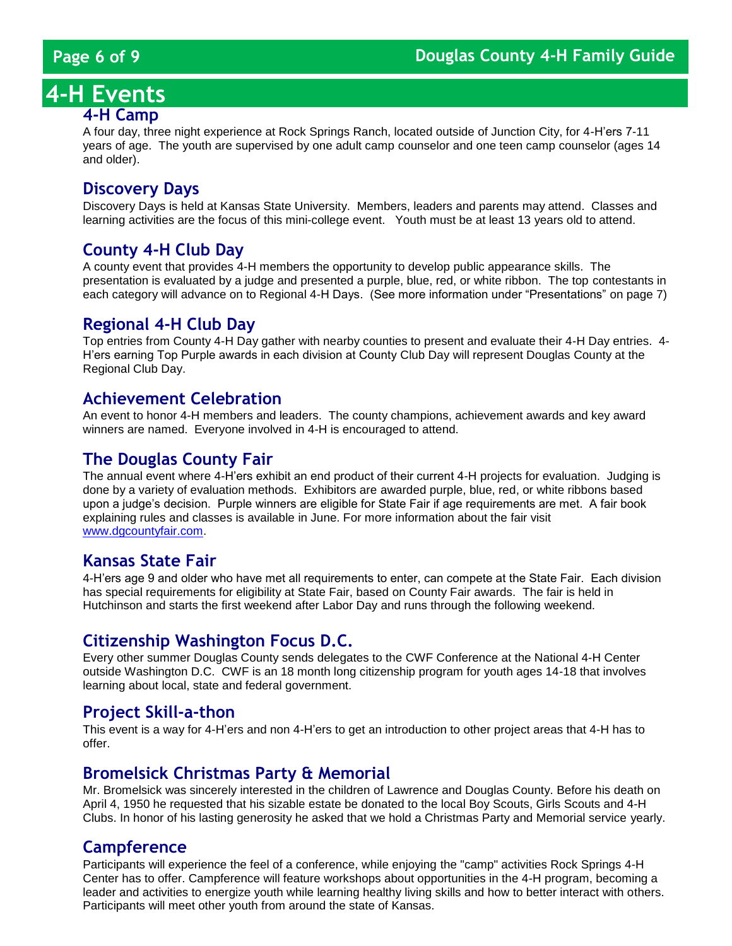# **4-H Events**

#### **4-H Camp**

A four day, three night experience at Rock Springs Ranch, located outside of Junction City, for 4-H'ers 7-11 years of age. The youth are supervised by one adult camp counselor and one teen camp counselor (ages 14 and older).

#### **Discovery Days**

Discovery Days is held at Kansas State University. Members, leaders and parents may attend. Classes and learning activities are the focus of this mini-college event. Youth must be at least 13 years old to attend.

### **County 4-H Club Day**

A county event that provides 4-H members the opportunity to develop public appearance skills. The presentation is evaluated by a judge and presented a purple, blue, red, or white ribbon. The top contestants in each category will advance on to Regional 4-H Days. (See more information under "Presentations" on page 7)

#### **Regional 4-H Club Day**

Top entries from County 4-H Day gather with nearby counties to present and evaluate their 4-H Day entries. 4- H'ers earning Top Purple awards in each division at County Club Day will represent Douglas County at the Regional Club Day.

#### **Achievement Celebration**

An event to honor 4-H members and leaders. The county champions, achievement awards and key award winners are named. Everyone involved in 4-H is encouraged to attend.

### **The Douglas County Fair**

The annual event where 4-H'ers exhibit an end product of their current 4-H projects for evaluation. Judging is done by a variety of evaluation methods. Exhibitors are awarded purple, blue, red, or white ribbons based upon a judge's decision. Purple winners are eligible for State Fair if age requirements are met. A fair book explaining rules and classes is available in June. For more information about the fair visit [www.dgcountyfair.com.](http://www.dgcountyfair.com/)

### **Kansas State Fair**

4-H'ers age 9 and older who have met all requirements to enter, can compete at the State Fair. Each division has special requirements for eligibility at State Fair, based on County Fair awards. The fair is held in Hutchinson and starts the first weekend after Labor Day and runs through the following weekend.

### **Citizenship Washington Focus D.C.**

Every other summer Douglas County sends delegates to the CWF Conference at the National 4-H Center outside Washington D.C. CWF is an 18 month long citizenship program for youth ages 14-18 that involves learning about local, state and federal government.

#### **Project Skill-a-thon**

This event is a way for 4-H'ers and non 4-H'ers to get an introduction to other project areas that 4-H has to offer.

#### **Bromelsick Christmas Party & Memorial**

Mr. Bromelsick was sincerely interested in the children of Lawrence and Douglas County. Before his death on April 4, 1950 he requested that his sizable estate be donated to the local Boy Scouts, Girls Scouts and 4-H Clubs. In honor of his lasting generosity he asked that we hold a Christmas Party and Memorial service yearly.

#### **Campference**

Participants will experience the feel of a conference, while enjoying the "camp" activities Rock Springs 4-H Center has to offer. Campference will feature workshops about opportunities in the 4-H program, becoming a leader and activities to energize youth while learning healthy living skills and how to better interact with others. Participants will meet other youth from around the state of Kansas.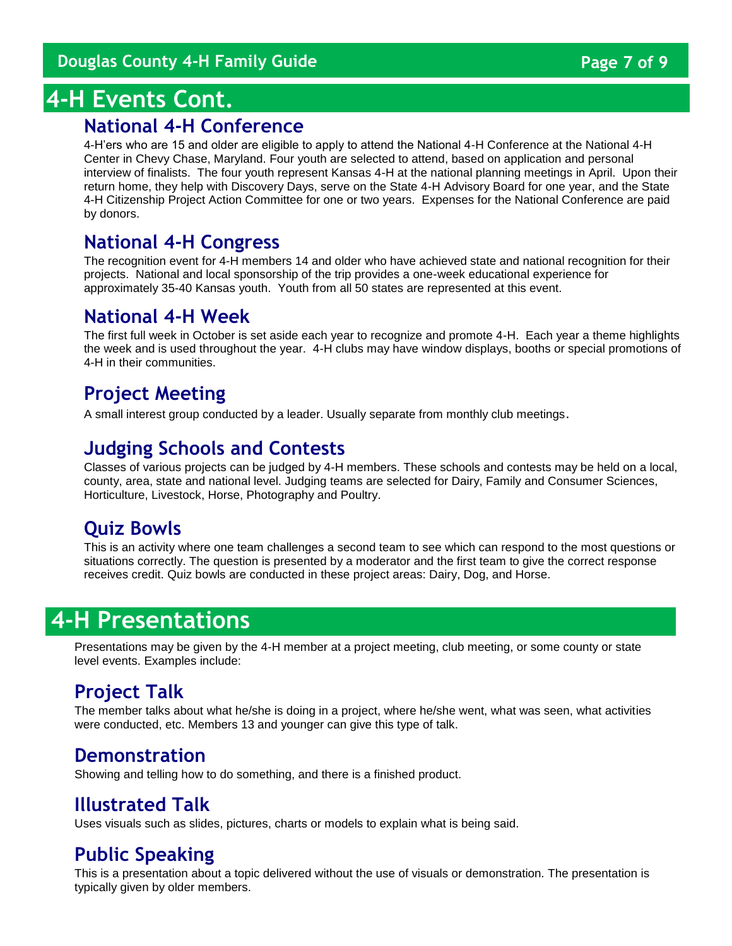# **4-H Events Cont.**

## **National 4-H Conference**

4-H'ers who are 15 and older are eligible to apply to attend the National 4-H Conference at the National 4-H Center in Chevy Chase, Maryland. Four youth are selected to attend, based on application and personal interview of finalists. The four youth represent Kansas 4-H at the national planning meetings in April. Upon their return home, they help with Discovery Days, serve on the State 4-H Advisory Board for one year, and the State 4-H Citizenship Project Action Committee for one or two years. Expenses for the National Conference are paid by donors.

# **National 4-H Congress**

The recognition event for 4-H members 14 and older who have achieved state and national recognition for their projects. National and local sponsorship of the trip provides a one-week educational experience for approximately 35-40 Kansas youth. Youth from all 50 states are represented at this event.

# **National 4-H Week**

The first full week in October is set aside each year to recognize and promote 4-H. Each year a theme highlights the week and is used throughout the year. 4-H clubs may have window displays, booths or special promotions of 4-H in their communities.

# **Project Meeting**

A small interest group conducted by a leader. Usually separate from monthly club meetings.

# **Judging Schools and Contests**

Classes of various projects can be judged by 4-H members. These schools and contests may be held on a local, county, area, state and national level. Judging teams are selected for Dairy, Family and Consumer Sciences, Horticulture, Livestock, Horse, Photography and Poultry.

# **Quiz Bowls**

This is an activity where one team challenges a second team to see which can respond to the most questions or situations correctly. The question is presented by a moderator and the first team to give the correct response receives credit. Quiz bowls are conducted in these project areas: Dairy, Dog, and Horse.

# **4-H Presentations**

Presentations may be given by the 4-H member at a project meeting, club meeting, or some county or state level events. Examples include:

# **Project Talk**

The member talks about what he/she is doing in a project, where he/she went, what was seen, what activities were conducted, etc. Members 13 and younger can give this type of talk.

# **Demonstration**

Showing and telling how to do something, and there is a finished product.

# **Illustrated Talk**

Uses visuals such as slides, pictures, charts or models to explain what is being said.

# **Public Speaking**

This is a presentation about a topic delivered without the use of visuals or demonstration. The presentation is typically given by older members.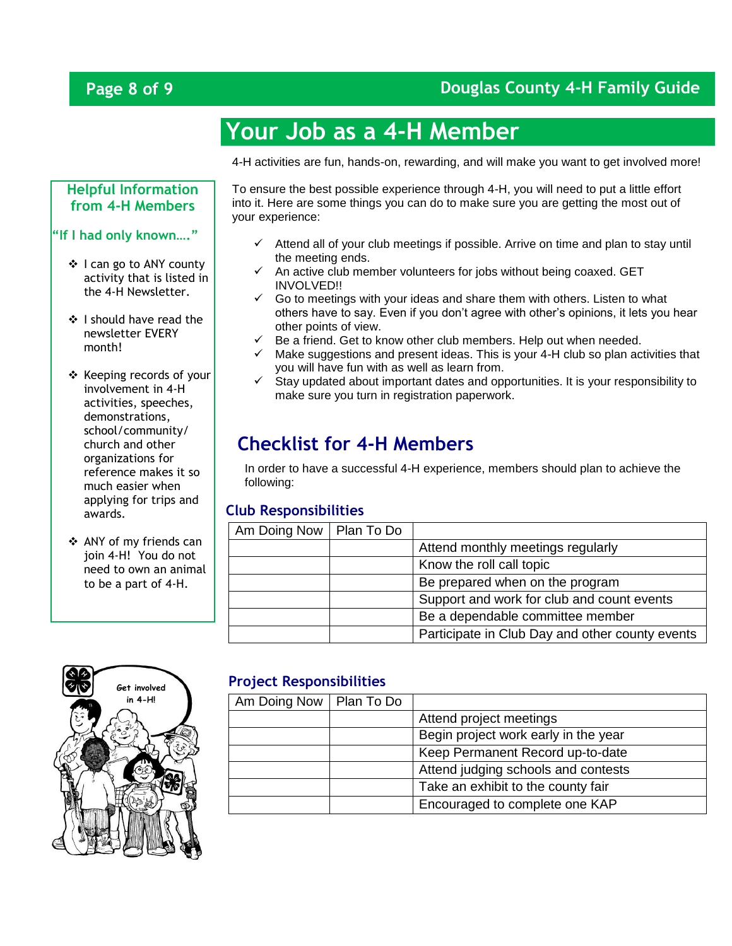# **Page 8 of 9 Douglas County 4-H Family Guide**

# **Your Job as a 4-H Member**

4-H activities are fun, hands-on, rewarding, and will make you want to get involved more!

#### **Helpful Information from 4-H Members**

#### **"If I had only known…."**

- ❖ I can go to ANY county activity that is listed in the 4-H Newsletter.
- ❖ I should have read the newsletter EVERY month!
- \* Keeping records of your involvement in 4-H activities, speeches, demonstrations, school/community/ church and other organizations for reference makes it so much easier when applying for trips and awards.
- ANY of my friends can join 4-H! You do not need to own an animal to be a part of 4-H.



To ensure the best possible experience through 4-H, you will need to put a little effort into it. Here are some things you can do to make sure you are getting the most out of your experience:

- $\checkmark$  Attend all of your club meetings if possible. Arrive on time and plan to stay until the meeting ends.
- $\checkmark$  An active club member volunteers for jobs without being coaxed. GET INVOLVED!!
- $\checkmark$  Go to meetings with your ideas and share them with others. Listen to what others have to say. Even if you don't agree with other's opinions, it lets you hear other points of view.
- $\checkmark$  Be a friend. Get to know other club members. Help out when needed.
- $\checkmark$  Make suggestions and present ideas. This is your 4-H club so plan activities that you will have fun with as well as learn from.
- $\checkmark$  Stay updated about important dates and opportunities. It is your responsibility to make sure you turn in registration paperwork.

# **Checklist for 4-H Members**

In order to have a successful 4-H experience, members should plan to achieve the following:

#### **Club Responsibilities**

| Am Doing Now   Plan To Do |                                                 |
|---------------------------|-------------------------------------------------|
|                           | Attend monthly meetings regularly               |
|                           | Know the roll call topic                        |
|                           | Be prepared when on the program                 |
|                           | Support and work for club and count events      |
|                           | Be a dependable committee member                |
|                           | Participate in Club Day and other county events |

#### **Project Responsibilities**

| Am Doing Now   Plan To Do |                                      |
|---------------------------|--------------------------------------|
|                           | Attend project meetings              |
|                           | Begin project work early in the year |
|                           | Keep Permanent Record up-to-date     |
|                           | Attend judging schools and contests  |
|                           | Take an exhibit to the county fair   |
|                           | Encouraged to complete one KAP       |